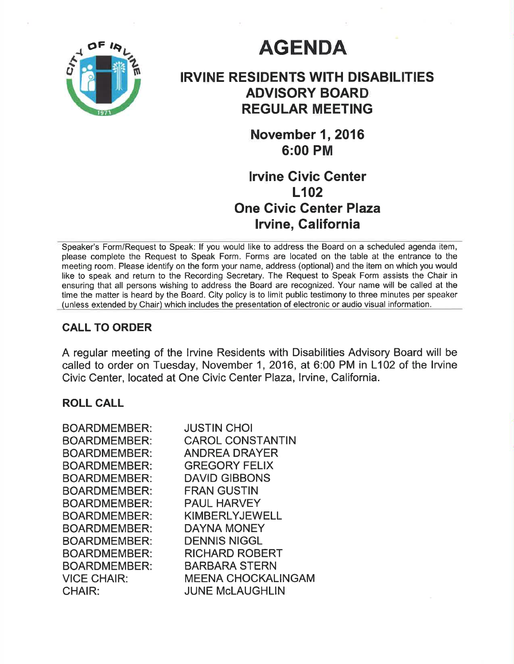

# **AGENDA**

# IRVINE RESIDENTS WITH DISABILITIES ADVISORY BOARD REGULAR MEETING

**November 1, 2016** 6:00 PM

## lrvine Givic Genter LI02 One Civic Genter Plaza lrvine, Galifornia

Speaker's Form/Request to Speak: lf you would like to address the Board on a scheduled agenda item, please complete the Request to Speak Form. Forms are located on the table at the entrance to the meeting room. Please identify on the form your name, address (optional) and the item on which you would like to speak and return to the Recording Secretary. The Request to Speak Form assists the Chair in ensuring that all persons wishing to address the Board are recognized. Your name will be called at the time the matter is heard by the Board. City policy is to limit public testimony to three minutes per speaker (unless extended by Chair) which includes the presentation of electronic or audio visual information.

### CALL TO ORDER

A regular meeting of the Irvine Residents with Disabilities Advisory Board will be called to order on Tuesday, November 1, 2016, at 6:00 PM in L102 of the lrvine Civic Center, located at One Civic Center Plaza, Irvine, California.

#### ROLL CALL

| BOARDMEMBER:        | <b>JUSTIN CHOI</b>      |
|---------------------|-------------------------|
| <b>BOARDMEMBER:</b> | <b>CAROL CONSTANTIN</b> |
| <b>BOARDMEMBER:</b> | <b>ANDREA DRAYER</b>    |
| <b>BOARDMEMBER:</b> | <b>GREGORY FELIX</b>    |
| <b>BOARDMEMBER:</b> | <b>DAVID GIBBONS</b>    |
| <b>BOARDMEMBER:</b> | <b>FRAN GUSTIN</b>      |
| <b>BOARDMEMBER:</b> | <b>PAUL HARVEY</b>      |
| BOARDMEMBER:        | <b>KIMBERLYJEWELL</b>   |
| <b>BOARDMEMBER:</b> | <b>DAYNA MONEY</b>      |
| <b>BOARDMEMBER:</b> | <b>DENNIS NIGGL</b>     |
| <b>BOARDMEMBER:</b> | <b>RICHARD ROBERT</b>   |
| <b>BOARDMEMBER:</b> | <b>BARBARA STERN</b>    |
| <b>VICE CHAIR:</b>  | MEENA CHOCKALINGAM      |
| <b>CHAIR:</b>       | <b>JUNE McLAUGHLIN</b>  |
|                     |                         |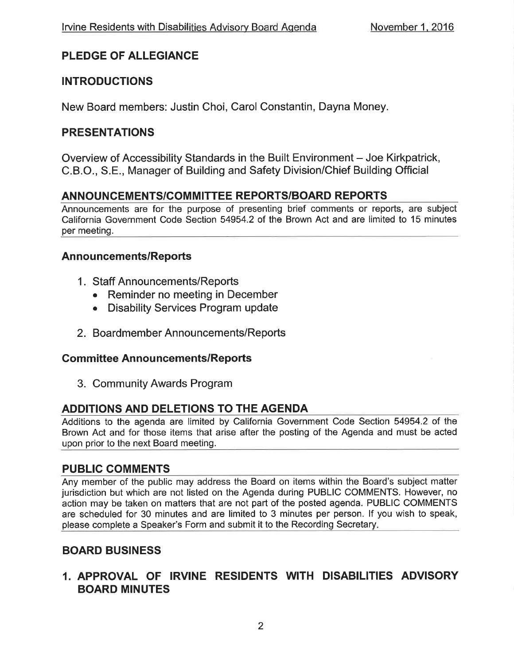### PLEDGE OF ALLEGIANCE

### INTRODUCTIONS

New Board members: Justin Choi, Carol Constantin, Dayna Money.

### PRESENTATIONS

Overview of Accessibility Standards in the Built Environment – Joe Kirkpatrick, C.B.O., S.E., Manager of Building and Safety Division/Chief Building Official

### ANNOUNCEMENTS/COMMITTEE REPORTS/BOARD REPORTS

Announcements are for the purpose of presenting brief comments or reports, are subject California Government Code Section 54954.2 of the Brown Act and are limited to 15 minutes per meeting.

#### Announcements/Reports

- <sup>1</sup>. Staff Announcements/Reports
	- Reminder no meeting in December
	- Disability Services Program update
- 2. Boardmember Announcements/Reports

#### **Committee Announcements/Reports**

3. Community Awards Program

### ADDITIONS AND DELETIONS TO THE AGENDA

Additions to the agenda are limited by California Government Code Section 54954.2 of the Brown Act and for those items that arise after the posting of the Agenda and must be acted upon prior to the next Board meeting.

#### PUBLIC GOMMENTS

Any member of the public may address the Board on items within the Board's subject matter jurisdiction but which are not listed on the Agenda during PUBLIC COMMENTS. However, no action may be taken on matters that are not part of the posted agenda. PUBLIC COMMENTS are scheduled for 30 minutes and are limited to 3 minutes per person. lf you wish to speak, please complete a Speaker's Form and submit it to the Recording Secretary

### BOARD BUSINESS

### 1. APPROVAL OF IRVINE RESIDENTS WITH DISABILITIES ADVISORY BOARD MINUTES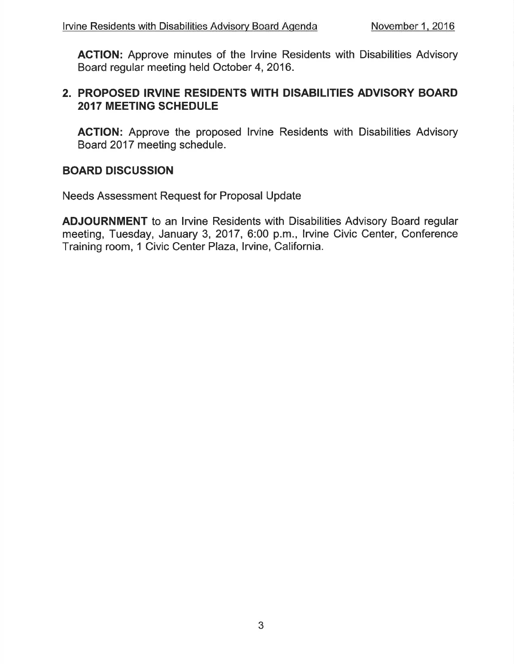AGTION: Approve minutes of the lrvine Residents with Disabilities Advisory Board regular meeting held October 4,2016.

### 2. PROPOSED IRVINE RESIDENTS WITH DISABILITIES ADVISORY BOARD 2017 MEETING SCHEDULE

AGTION: Approve the proposed lrvine Residents with Disabilities Advisory Board 2017 meeting schedule.

### BOARD DISCUSSION

Needs Assessment Request for Proposal Update

ADJOURNMENT to an lrvine Residents with Disabilities Advisory Board regular meeting, Tuesday, January 3, 2017, 6:00 p.m., lrvine Civic Center, Conference Training room, 1 Civic Center Plaza, Irvine, California.